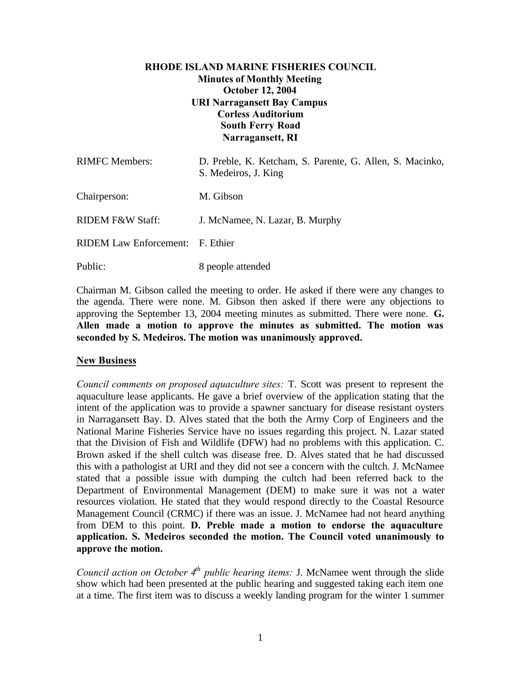### **RHODE ISLAND MARINE FISHERIES COUNCIL Minutes of Monthly Meeting October 12, 2004 URI Narragansett Bay Campus Corless Auditorium South Ferry Road Narragansett, RI**

| <b>RIMFC</b> Members:            | D. Preble, K. Ketcham, S. Parente, G. Allen, S. Macinko,<br>S. Medeiros, J. King |
|----------------------------------|----------------------------------------------------------------------------------|
| Chairperson:                     | M. Gibson                                                                        |
| RIDEM F&W Staff:                 | J. McNamee, N. Lazar, B. Murphy                                                  |
| RIDEM Law Enforcement: F. Ethier |                                                                                  |
| Public:                          | 8 people attended                                                                |

Chairman M. Gibson called the meeting to order. He asked if there were any changes to the agenda. There were none. M. Gibson then asked if there were any objections to approving the September 13, 2004 meeting minutes as submitted. There were none. **G. Allen made a motion to approve the minutes as submitted. The motion was seconded by S. Medeiros. The motion was unanimously approved.**

### **New Business**

*Council comments on proposed aquaculture sites:* T. Scott was present to represent the aquaculture lease applicants. He gave a brief overview of the application stating that the intent of the application was to provide a spawner sanctuary for disease resistant oysters in Narragansett Bay. D. Alves stated that the both the Army Corp of Engineers and the National Marine Fisheries Service have no issues regarding this project. N. Lazar stated that the Division of Fish and Wildlife (DFW) had no problems with this application. C. Brown asked if the shell cultch was disease free. D. Alves stated that he had discussed this with a pathologist at URI and they did not see a concern with the cultch. J. McNamee stated that a possible issue with dumping the cultch had been referred back to the Department of Environmental Management (DEM) to make sure it was not a water resources violation. He stated that they would respond directly to the Coastal Resource Management Council (CRMC) if there was an issue. J. McNamee had not heard anything from DEM to this point. **D. Preble made a motion to endorse the aquaculture application. S. Medeiros seconded the motion. The Council voted unanimously to approve the motion.**

*Council action on October 4th public hearing items:* J. McNamee went through the slide show which had been presented at the public hearing and suggested taking each item one at a time. The first item was to discuss a weekly landing program for the winter 1 summer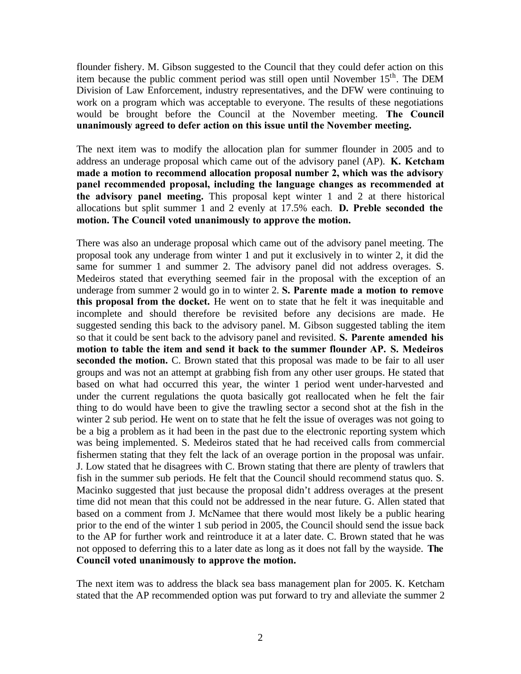flounder fishery. M. Gibson suggested to the Council that they could defer action on this item because the public comment period was still open until November  $15<sup>th</sup>$ . The DEM Division of Law Enforcement, industry representatives, and the DFW were continuing to work on a program which was acceptable to everyone. The results of these negotiations would be brought before the Council at the November meeting. **The Council unanimously agreed to defer action on this issue until the November meeting.**

The next item was to modify the allocation plan for summer flounder in 2005 and to address an underage proposal which came out of the advisory panel (AP). **K. Ketcham made a motion to recommend allocation proposal number 2, which was the advisory panel recommended proposal, including the language changes as recommended at the advisory panel meeting.** This proposal kept winter 1 and 2 at there historical allocations but split summer 1 and 2 evenly at 17.5% each. **D. Preble seconded the motion. The Council voted unanimously to approve the motion.**

There was also an underage proposal which came out of the advisory panel meeting. The proposal took any underage from winter 1 and put it exclusively in to winter 2, it did the same for summer 1 and summer 2. The advisory panel did not address overages. S. Medeiros stated that everything seemed fair in the proposal with the exception of an underage from summer 2 would go in to winter 2. **S. Parente made a motion to remove this proposal from the docket.** He went on to state that he felt it was inequitable and incomplete and should therefore be revisited before any decisions are made. He suggested sending this back to the advisory panel. M. Gibson suggested tabling the item so that it could be sent back to the advisory panel and revisited. **S. Parente amended his motion to table the item and send it back to the summer flounder AP. S. Medeiros** seconded the motion. C. Brown stated that this proposal was made to be fair to all user groups and was not an attempt at grabbing fish from any other user groups. He stated that based on what had occurred this year, the winter 1 period went under-harvested and under the current regulations the quota basically got reallocated when he felt the fair thing to do would have been to give the trawling sector a second shot at the fish in the winter 2 sub period. He went on to state that he felt the issue of overages was not going to be a big a problem as it had been in the past due to the electronic reporting system which was being implemented. S. Medeiros stated that he had received calls from commercial fishermen stating that they felt the lack of an overage portion in the proposal was unfair. J. Low stated that he disagrees with C. Brown stating that there are plenty of trawlers that fish in the summer sub periods. He felt that the Council should recommend status quo. S. Macinko suggested that just because the proposal didn't address overages at the present time did not mean that this could not be addressed in the near future. G. Allen stated that based on a comment from J. McNamee that there would most likely be a public hearing prior to the end of the winter 1 sub period in 2005, the Council should send the issue back to the AP for further work and reintroduce it at a later date. C. Brown stated that he was not opposed to deferring this to a later date as long as it does not fall by the wayside. **The Council voted unanimously to approve the motion.**

The next item was to address the black sea bass management plan for 2005. K. Ketcham stated that the AP recommended option was put forward to try and alleviate the summer 2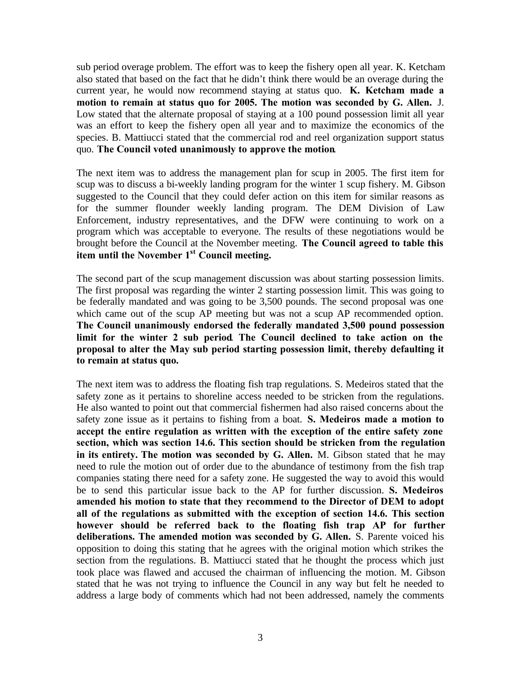sub period overage problem. The effort was to keep the fishery open all year. K. Ketcham also stated that based on the fact that he didn't think there would be an overage during the current year, he would now recommend staying at status quo. **K. Ketcham made a motion to remain at status quo for 2005. The motion was seconded by G. Allen.** J. Low stated that the alternate proposal of staying at a 100 pound possession limit all year was an effort to keep the fishery open all year and to maximize the economics of the species. B. Mattiucci stated that the commercial rod and reel organization support status quo. **The Council voted unanimously to approve the motion**.

The next item was to address the management plan for scup in 2005. The first item for scup was to discuss a bi-weekly landing program for the winter 1 scup fishery. M. Gibson suggested to the Council that they could defer action on this item for similar reasons as for the summer flounder weekly landing program. The DEM Division of Law Enforcement, industry representatives, and the DFW were continuing to work on a program which was acceptable to everyone. The results of these negotiations would be brought before the Council at the November meeting. **The Council agreed to table this item until the November 1st Council meeting.**

The second part of the scup management discussion was about starting possession limits. The first proposal was regarding the winter 2 starting possession limit. This was going to be federally mandated and was going to be 3,500 pounds. The second proposal was one which came out of the scup AP meeting but was not a scup AP recommended option. **The Council unanimously endorsed the federally mandated 3,500 pound possession limit for the winter 2 sub period**. **The Council declined to take action on the proposal to alter the May sub period starting possession limit, thereby defaulting it to remain at status quo.**

The next item was to address the floating fish trap regulations. S. Medeiros stated that the safety zone as it pertains to shoreline access needed to be stricken from the regulations. He also wanted to point out that commercial fishermen had also raised concerns about the safety zone issue as it pertains to fishing from a boat. **S. Medeiros made a motion to accept the entire regulation as written with the exception of the entire safety zone section, which was section 14.6. This section should be stricken from the regulation in its entirety. The motion was seconded by G. Allen.** M. Gibson stated that he may need to rule the motion out of order due to the abundance of testimony from the fish trap companies stating there need for a safety zone. He suggested the way to avoid this would be to send this particular issue back to the AP for further discussion. **S. Medeiros amended his motion to state that they recommend to the Director of DEM to adopt all of the regulations as submitted with the exception of section 14.6. This section however should be referred back to the floating fish trap AP for further deliberations. The amended motion was seconded by G. Allen.** S. Parente voiced his opposition to doing this stating that he agrees with the original motion which strikes the section from the regulations. B. Mattiucci stated that he thought the process which just took place was flawed and accused the chairman of influencing the motion. M. Gibson stated that he was not trying to influence the Council in any way but felt he needed to address a large body of comments which had not been addressed, namely the comments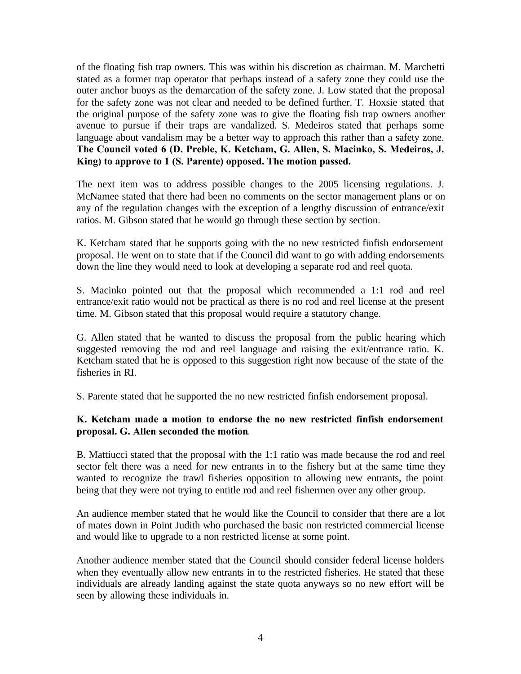of the floating fish trap owners. This was within his discretion as chairman. M. Marchetti stated as a former trap operator that perhaps instead of a safety zone they could use the outer anchor buoys as the demarcation of the safety zone. J. Low stated that the proposal for the safety zone was not clear and needed to be defined further. T. Hoxsie stated that the original purpose of the safety zone was to give the floating fish trap owners another avenue to pursue if their traps are vandalized. S. Medeiros stated that perhaps some language about vandalism may be a better way to approach this rather than a safety zone. **The Council voted 6 (D. Preble, K. Ketcham, G. Allen, S. Macinko, S. Medeiros, J. King) to approve to 1 (S. Parente) opposed. The motion passed.**

The next item was to address possible changes to the 2005 licensing regulations. J. McNamee stated that there had been no comments on the sector management plans or on any of the regulation changes with the exception of a lengthy discussion of entrance/exit ratios. M. Gibson stated that he would go through these section by section.

K. Ketcham stated that he supports going with the no new restricted finfish endorsement proposal. He went on to state that if the Council did want to go with adding endorsements down the line they would need to look at developing a separate rod and reel quota.

S. Macinko pointed out that the proposal which recommended a 1:1 rod and reel entrance/exit ratio would not be practical as there is no rod and reel license at the present time. M. Gibson stated that this proposal would require a statutory change.

G. Allen stated that he wanted to discuss the proposal from the public hearing which suggested removing the rod and reel language and raising the exit/entrance ratio. K. Ketcham stated that he is opposed to this suggestion right now because of the state of the fisheries in RI.

S. Parente stated that he supported the no new restricted finfish endorsement proposal.

### **K. Ketcham made a motion to endorse the no new restricted finfish endorsement proposal. G. Allen seconded the motion**.

B. Mattiucci stated that the proposal with the 1:1 ratio was made because the rod and reel sector felt there was a need for new entrants in to the fishery but at the same time they wanted to recognize the trawl fisheries opposition to allowing new entrants, the point being that they were not trying to entitle rod and reel fishermen over any other group.

An audience member stated that he would like the Council to consider that there are a lot of mates down in Point Judith who purchased the basic non restricted commercial license and would like to upgrade to a non restricted license at some point.

Another audience member stated that the Council should consider federal license holders when they eventually allow new entrants in to the restricted fisheries. He stated that these individuals are already landing against the state quota anyways so no new effort will be seen by allowing these individuals in.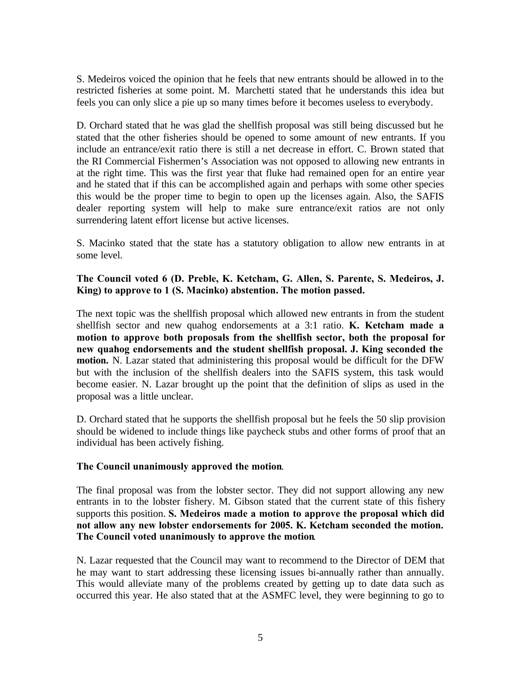S. Medeiros voiced the opinion that he feels that new entrants should be allowed in to the restricted fisheries at some point. M. Marchetti stated that he understands this idea but feels you can only slice a pie up so many times before it becomes useless to everybody.

D. Orchard stated that he was glad the shellfish proposal was still being discussed but he stated that the other fisheries should be opened to some amount of new entrants. If you include an entrance/exit ratio there is still a net decrease in effort. C. Brown stated that the RI Commercial Fishermen's Association was not opposed to allowing new entrants in at the right time. This was the first year that fluke had remained open for an entire year and he stated that if this can be accomplished again and perhaps with some other species this would be the proper time to begin to open up the licenses again. Also, the SAFIS dealer reporting system will help to make sure entrance/exit ratios are not only surrendering latent effort license but active licenses.

S. Macinko stated that the state has a statutory obligation to allow new entrants in at some level.

#### **The Council voted 6 (D. Preble, K. Ketcham, G. Allen, S. Parente, S. Medeiros, J. King) to approve to 1 (S. Macinko) abstention. The motion passed.**

The next topic was the shellfish proposal which allowed new entrants in from the student shellfish sector and new quahog endorsements at a 3:1 ratio. **K. Ketcham made a motion to approve both proposals from the shellfish sector, both the proposal for new quahog endorsements and the student shellfish proposal. J. King seconded the motion.** N. Lazar stated that administering this proposal would be difficult for the DFW but with the inclusion of the shellfish dealers into the SAFIS system, this task would become easier. N. Lazar brought up the point that the definition of slips as used in the proposal was a little unclear.

D. Orchard stated that he supports the shellfish proposal but he feels the 50 slip provision should be widened to include things like paycheck stubs and other forms of proof that an individual has been actively fishing.

#### **The Council unanimously approved the motion**.

The final proposal was from the lobster sector. They did not support allowing any new entrants in to the lobster fishery. M. Gibson stated that the current state of this fishery supports this position. **S. Medeiros made a motion to approve the proposal which did not allow any new lobster endorsements for 2005. K. Ketcham seconded the motion. The Council voted unanimously to approve the motion**.

N. Lazar requested that the Council may want to recommend to the Director of DEM that he may want to start addressing these licensing issues bi-annually rather than annually. This would alleviate many of the problems created by getting up to date data such as occurred this year. He also stated that at the ASMFC level, they were beginning to go to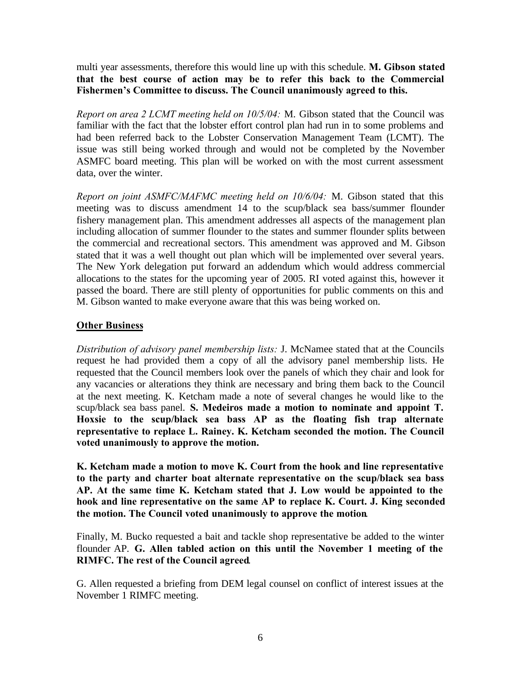multi year assessments, therefore this would line up with this schedule. **M. Gibson stated that the best course of action may be to refer this back to the Commercial Fishermen's Committee to discuss. The Council unanimously agreed to this.**

*Report on area 2 LCMT meeting held on 10/5/04:* M. Gibson stated that the Council was familiar with the fact that the lobster effort control plan had run in to some problems and had been referred back to the Lobster Conservation Management Team (LCMT). The issue was still being worked through and would not be completed by the November ASMFC board meeting. This plan will be worked on with the most current assessment data, over the winter.

*Report on joint ASMFC/MAFMC meeting held on 10/6/04:* M. Gibson stated that this meeting was to discuss amendment 14 to the scup/black sea bass/summer flounder fishery management plan. This amendment addresses all aspects of the management plan including allocation of summer flounder to the states and summer flounder splits between the commercial and recreational sectors. This amendment was approved and M. Gibson stated that it was a well thought out plan which will be implemented over several years. The New York delegation put forward an addendum which would address commercial allocations to the states for the upcoming year of 2005. RI voted against this, however it passed the board. There are still plenty of opportunities for public comments on this and M. Gibson wanted to make everyone aware that this was being worked on.

## **Other Business**

*Distribution of advisory panel membership lists:* J. McNamee stated that at the Councils request he had provided them a copy of all the advisory panel membership lists. He requested that the Council members look over the panels of which they chair and look for any vacancies or alterations they think are necessary and bring them back to the Council at the next meeting. K. Ketcham made a note of several changes he would like to the scup/black sea bass panel. **S. Medeiros made a motion to nominate and appoint T. Hoxsie to the scup/black sea bass AP as the floating fish trap alternate representative to replace L. Rainey. K. Ketcham seconded the motion. The Council voted unanimously to approve the motion.**

**K. Ketcham made a motion to move K. Court from the hook and line representative to the party and charter boat alternate representative on the scup/black sea bass AP. At the same time K. Ketcham stated that J. Low would be appointed to the hook and line representative on the same AP to replace K. Court. J. King seconded the motion. The Council voted unanimously to approve the motion**.

Finally, M. Bucko requested a bait and tackle shop representative be added to the winter flounder AP. **G. Allen tabled action on this until the November 1 meeting of the RIMFC. The rest of the Council agreed**.

G. Allen requested a briefing from DEM legal counsel on conflict of interest issues at the November 1 RIMFC meeting.